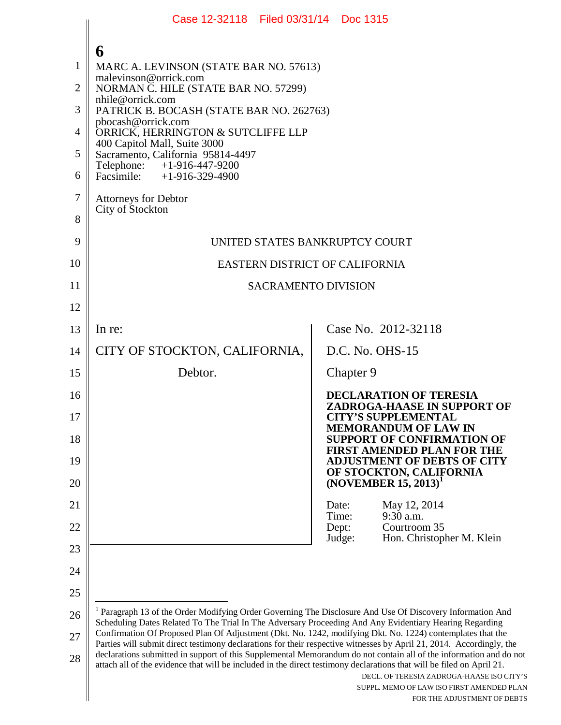|                                                           | Case 12-32118 Filed 03/31/14 Doc 1315                                                                                                                                                                                                                                                                                                                                                                                                                                                                                                                                       |                |                                                                                                       |                             |
|-----------------------------------------------------------|-----------------------------------------------------------------------------------------------------------------------------------------------------------------------------------------------------------------------------------------------------------------------------------------------------------------------------------------------------------------------------------------------------------------------------------------------------------------------------------------------------------------------------------------------------------------------------|----------------|-------------------------------------------------------------------------------------------------------|-----------------------------|
| 1<br>$\overline{2}$<br>3<br>$\overline{4}$<br>5<br>6<br>7 | 6<br>MARC A. LEVINSON (STATE BAR NO. 57613)<br>malevinson@orrick.com<br>NORMAN C. HILE (STATE BAR NO. 57299)<br>nhile@orrick.com<br>PATRICK B. BOCASH (STATE BAR NO. 262763)<br>pbocash@orrick.com<br>ORRICK, HERRINGTON & SUTCLIFFE LLP<br>400 Capitol Mall, Suite 3000<br>Sacramento, California 95814-4497<br>$+1 - 916 - 447 - 9200$<br>Telephone:<br>Facsimile: $+1-916-329-4900$<br><b>Attorneys for Debtor</b><br>City of Stockton                                                                                                                                   |                |                                                                                                       |                             |
| 8<br>9                                                    |                                                                                                                                                                                                                                                                                                                                                                                                                                                                                                                                                                             |                |                                                                                                       |                             |
| 10                                                        | UNITED STATES BANKRUPTCY COURT<br>EASTERN DISTRICT OF CALIFORNIA                                                                                                                                                                                                                                                                                                                                                                                                                                                                                                            |                |                                                                                                       |                             |
| 11                                                        | <b>SACRAMENTO DIVISION</b>                                                                                                                                                                                                                                                                                                                                                                                                                                                                                                                                                  |                |                                                                                                       |                             |
| 12                                                        |                                                                                                                                                                                                                                                                                                                                                                                                                                                                                                                                                                             |                |                                                                                                       |                             |
| 13                                                        | In re:                                                                                                                                                                                                                                                                                                                                                                                                                                                                                                                                                                      |                | Case No. 2012-32118                                                                                   |                             |
| 14                                                        | CITY OF STOCKTON, CALIFORNIA,                                                                                                                                                                                                                                                                                                                                                                                                                                                                                                                                               |                | D.C. No. OHS-15                                                                                       |                             |
| 15                                                        | Debtor.                                                                                                                                                                                                                                                                                                                                                                                                                                                                                                                                                                     |                | Chapter 9                                                                                             |                             |
| 16<br>17                                                  |                                                                                                                                                                                                                                                                                                                                                                                                                                                                                                                                                                             |                | <b>DECLARATION OF TERESIA</b><br>ZADROGA-HAASE IN SUPPORT OF<br><b>CITY'S SUPPLEMENTAL</b>            |                             |
| 18                                                        |                                                                                                                                                                                                                                                                                                                                                                                                                                                                                                                                                                             |                | <b>MEMORANDUM OF LAW IN</b><br><b>SUPPORT OF CONFIRMATION OF</b><br><b>FIRST AMENDED PLAN FOR THE</b> |                             |
| 19<br>20                                                  |                                                                                                                                                                                                                                                                                                                                                                                                                                                                                                                                                                             |                | <b>ADJUSTMENT OF DEBTS OF CITY</b><br>OF STOCKTON, CALIFORNIA<br>$(NOVEMBER 15, 2013)^T$              |                             |
| 21                                                        |                                                                                                                                                                                                                                                                                                                                                                                                                                                                                                                                                                             | Date:          | May 12, 2014                                                                                          |                             |
| 22                                                        |                                                                                                                                                                                                                                                                                                                                                                                                                                                                                                                                                                             | Time:<br>Dept: | 9:30 a.m.<br>Courtroom 35                                                                             |                             |
| 23                                                        |                                                                                                                                                                                                                                                                                                                                                                                                                                                                                                                                                                             |                | Judge:<br>Hon. Christopher M. Klein                                                                   |                             |
| 24                                                        |                                                                                                                                                                                                                                                                                                                                                                                                                                                                                                                                                                             |                |                                                                                                       |                             |
| 25                                                        |                                                                                                                                                                                                                                                                                                                                                                                                                                                                                                                                                                             |                |                                                                                                       |                             |
| 26                                                        | <sup>1</sup> Paragraph 13 of the Order Modifying Order Governing The Disclosure And Use Of Discovery Information And<br>Scheduling Dates Related To The Trial In The Adversary Proceeding And Any Evidentiary Hearing Regarding                                                                                                                                                                                                                                                                                                                                             |                |                                                                                                       |                             |
| 27<br>28                                                  | Confirmation Of Proposed Plan Of Adjustment (Dkt. No. 1242, modifying Dkt. No. 1224) contemplates that the<br>Parties will submit direct testimony declarations for their respective witnesses by April 21, 2014. Accordingly, the<br>declarations submitted in support of this Supplemental Memorandum do not contain all of the information and do not<br>attach all of the evidence that will be included in the direct testimony declarations that will be filed on April 21.<br>DECL. OF TERESIA ZADROGA-HAASE ISO CITY'S<br>SUPPL. MEMO OF LAW ISO FIRST AMENDED PLAN |                |                                                                                                       |                             |
|                                                           |                                                                                                                                                                                                                                                                                                                                                                                                                                                                                                                                                                             |                |                                                                                                       | FOR THE ADJUSTMENT OF DEBTS |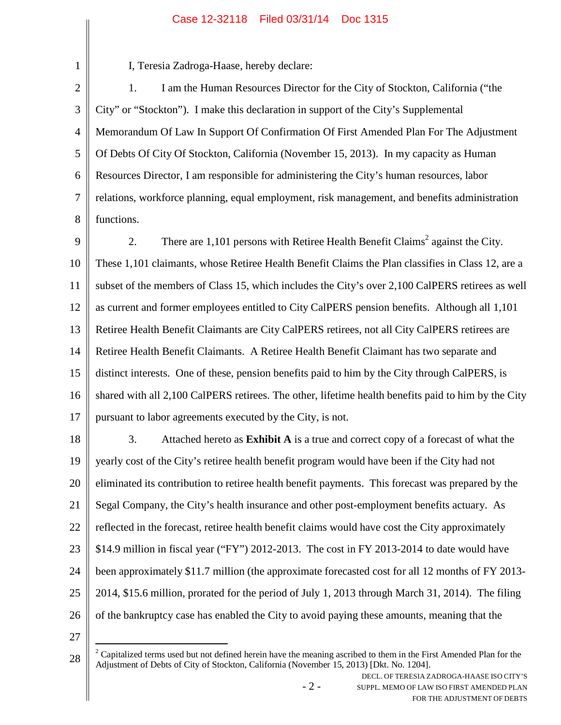# Case 12-32118 Filed 03/31/14 Doc 1315

| $\mathbf{1}$   | I, Teresia Zadroga-Haase, hereby declare:                                                                                       |  |  |  |
|----------------|---------------------------------------------------------------------------------------------------------------------------------|--|--|--|
| $\overline{2}$ | I am the Human Resources Director for the City of Stockton, California ("the<br>1.                                              |  |  |  |
| $\mathfrak{Z}$ | City" or "Stockton"). I make this declaration in support of the City's Supplemental                                             |  |  |  |
| $\overline{4}$ | Memorandum Of Law In Support Of Confirmation Of First Amended Plan For The Adjustment                                           |  |  |  |
| 5              | Of Debts Of City Of Stockton, California (November 15, 2013). In my capacity as Human                                           |  |  |  |
| 6              | Resources Director, I am responsible for administering the City's human resources, labor                                        |  |  |  |
| 7              | relations, workforce planning, equal employment, risk management, and benefits administration                                   |  |  |  |
| 8              | functions.                                                                                                                      |  |  |  |
| 9              | There are 1,101 persons with Retiree Health Benefit Claims <sup>2</sup> against the City.<br>2.                                 |  |  |  |
| 10             | These 1,101 claimants, whose Retiree Health Benefit Claims the Plan classifies in Class 12, are a                               |  |  |  |
| 11             | subset of the members of Class 15, which includes the City's over 2,100 CalPERS retirees as well                                |  |  |  |
| 12             | as current and former employees entitled to City CalPERS pension benefits. Although all 1,101                                   |  |  |  |
| 13             | Retiree Health Benefit Claimants are City CalPERS retirees, not all City CalPERS retirees are                                   |  |  |  |
| 14             | Retiree Health Benefit Claimants. A Retiree Health Benefit Claimant has two separate and                                        |  |  |  |
| 15             | distinct interests. One of these, pension benefits paid to him by the City through CalPERS, is                                  |  |  |  |
| 16             | shared with all 2,100 CalPERS retirees. The other, lifetime health benefits paid to him by the City                             |  |  |  |
| 17             | pursuant to labor agreements executed by the City, is not.                                                                      |  |  |  |
| 18             | 3.<br>Attached hereto as Exhibit A is a true and correct copy of a forecast of what the                                         |  |  |  |
| 19             | yearly cost of the City's retiree health benefit program would have been if the City had not                                    |  |  |  |
| 20             | eliminated its contribution to retiree health benefit payments. This forecast was prepared by the                               |  |  |  |
| 21             | Segal Company, the City's health insurance and other post-employment benefits actuary. As                                       |  |  |  |
| 22             | reflected in the forecast, retiree health benefit claims would have cost the City approximately                                 |  |  |  |
| 23             | \$14.9 million in fiscal year ("FY") 2012-2013. The cost in FY 2013-2014 to date would have                                     |  |  |  |
| 24             | been approximately \$11.7 million (the approximate forecasted cost for all 12 months of FY 2013-                                |  |  |  |
| 25             | 2014, \$15.6 million, prorated for the period of July 1, 2013 through March 31, 2014). The filing                               |  |  |  |
| 26             | of the bankruptcy case has enabled the City to avoid paying these amounts, meaning that the                                     |  |  |  |
| 27             |                                                                                                                                 |  |  |  |
|                | $\frac{2}{3}$ Capitalized terms used but not defined herein have the meaning ascribed to them in the First Amended Plan for the |  |  |  |

- 2 -

 $2^2$  Capitalized terms used but not defined herein have the meaning ascribed to them in the First Amended Plan for the 28  $\parallel$ Adjustment of Debts of City of Stockton, California (November 15, 2013) [Dkt. No. 1204].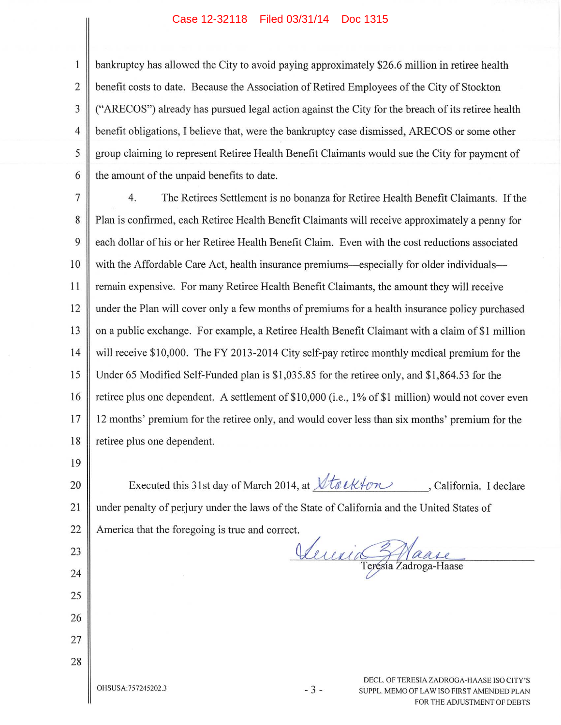### Case 12-32118 Filed 03/31/14 Doc 1315

bankruptcy has allowed the City to avoid paying approximately \$26.6 million in retiree health benefit costs to date. Because the Association of Retired Employees of the City of Stockton ("ARECOS") already has pursued legal action against the City for the breach of its retiree health benefit obligations, I believe that, were the bankruptcy case dismissed, ARECOS or some other group claiming to represent Retiree Health Benefit Claimants would sue the City for payment of the amount of the unpaid benefits to date.

 $\overline{7}$  $4.$ The Retirees Settlement is no bonanza for Retiree Health Benefit Claimants. If the 8 Plan is confirmed, each Retiree Health Benefit Claimants will receive approximately a penny for 9 each dollar of his or her Retiree Health Benefit Claim. Even with the cost reductions associated 10 with the Affordable Care Act, health insurance premiums—especially for older individuals— 11 remain expensive. For many Retiree Health Benefit Claimants, the amount they will receive 12 under the Plan will cover only a few months of premiums for a health insurance policy purchased 13 on a public exchange. For example, a Retiree Health Benefit Claimant with a claim of \$1 million 14 will receive \$10,000. The FY 2013-2014 City self-pay retiree monthly medical premium for the 15 Under 65 Modified Self-Funded plan is \$1,035.85 for the retiree only, and \$1,864.53 for the retiree plus one dependent. A settlement of \$10,000 (i.e., 1% of \$1 million) would not cover even 16 17 12 months' premium for the retiree only, and would cover less than six months' premium for the retiree plus one dependent. 18

19

22

23

24

25

26

27

28

 $\mathbf{1}$ 

 $\overline{2}$ 

3

 $\overline{4}$ 

5

6

Executed this 31st day of March 2014, at *Vta* ekton , California. I declare 20 21 under penalty of perjury under the laws of the State of California and the United States of

America that the foregoing is true and correct.

Verric Maare

OHSUSA:757245202.3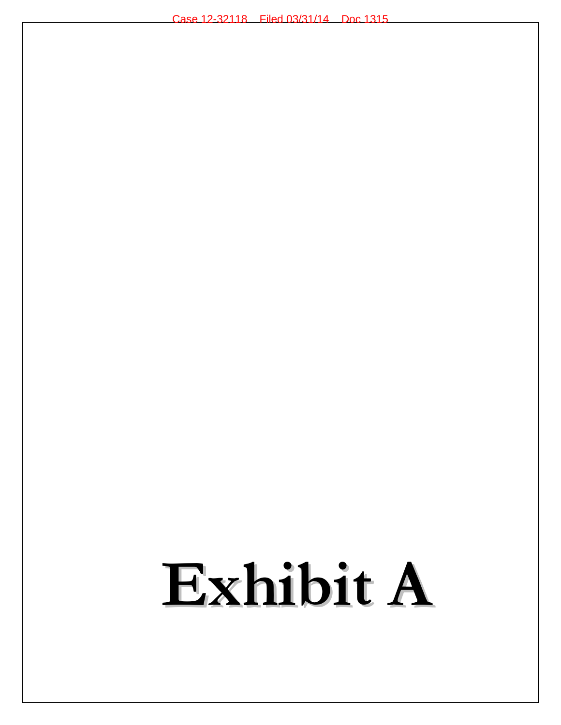# Exhibit A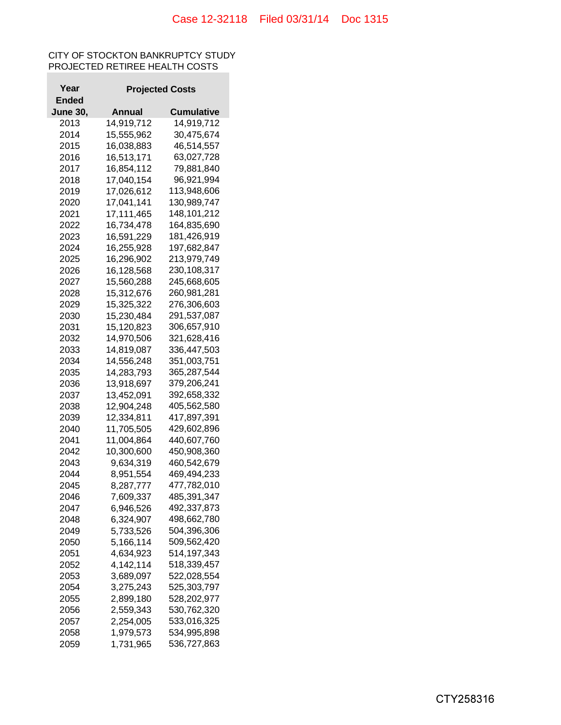## CITY OF STOCKTON BANKRUPTCY STUDY PROJECTED RETIREE HEALTH COSTS

| Year            |            | <b>Projected Costs</b>     |  |  |  |
|-----------------|------------|----------------------------|--|--|--|
| Ended           |            |                            |  |  |  |
| <b>June 30,</b> | Annual     | Cumulative                 |  |  |  |
| 2013            | 14,919,712 | 14,919,712                 |  |  |  |
| 2014            | 15,555,962 | 30,475,674                 |  |  |  |
| 2015            | 16,038,883 | 46,514,557                 |  |  |  |
| 2016            | 16,513,171 | 63,027,728                 |  |  |  |
| 2017            | 16,854,112 | 79,881,840                 |  |  |  |
| 2018            | 17,040,154 | 96,921,994                 |  |  |  |
| 2019            | 17,026,612 | 113,948,606                |  |  |  |
| 2020            | 17,041,141 | 130,989,747                |  |  |  |
| 2021            | 17,111,465 | 148,101,212                |  |  |  |
| 2022            | 16,734,478 | 164,835,690                |  |  |  |
| 2023            | 16,591,229 | 181,426,919                |  |  |  |
| 2024            | 16,255,928 | 197,682,847                |  |  |  |
| 2025            | 16,296,902 | 213,979,749                |  |  |  |
| 2026            | 16,128,568 | 230,108,317                |  |  |  |
| 2027            | 15,560,288 | 245,668,605                |  |  |  |
| 2028            | 15,312,676 | 260,981,281                |  |  |  |
| 2029            |            | 276,306,603                |  |  |  |
| 2030            | 15,325,322 |                            |  |  |  |
|                 | 15,230,484 | 291,537,087<br>306,657,910 |  |  |  |
| 2031<br>2032    | 15,120,823 |                            |  |  |  |
|                 | 14,970,506 | 321,628,416                |  |  |  |
| 2033            | 14,819,087 | 336,447,503                |  |  |  |
| 2034            | 14,556,248 | 351,003,751                |  |  |  |
| 2035            | 14,283,793 | 365,287,544                |  |  |  |
| 2036            | 13,918,697 | 379,206,241                |  |  |  |
| 2037            | 13,452,091 | 392,658,332                |  |  |  |
| 2038            | 12,904,248 | 405,562,580                |  |  |  |
| 2039            | 12,334,811 | 417,897,391                |  |  |  |
| 2040            | 11,705,505 | 429,602,896                |  |  |  |
| 2041            | 11,004,864 | 440,607,760                |  |  |  |
| 2042            | 10,300,600 | 450,908,360                |  |  |  |
| 2043            | 9,634,319  | 460,542,679                |  |  |  |
| 2044            | 8,951,554  | 469,494,233                |  |  |  |
| 2045            | 8,287,777  | 477,782,010                |  |  |  |
| 2046            | 7,609,337  | 485,391,347                |  |  |  |
| 2047            | 6,946,526  | 492,337,873                |  |  |  |
| 2048            | 6,324,907  | 498,662,780                |  |  |  |
| 2049            | 5,733,526  | 504,396,306                |  |  |  |
| 2050            | 5,166,114  | 509,562,420                |  |  |  |
| 2051            | 4,634,923  | 514,197,343                |  |  |  |
| 2052            | 4,142,114  | 518,339,457                |  |  |  |
| 2053            | 3,689,097  | 522,028,554                |  |  |  |
| 2054            | 3,275,243  | 525,303,797                |  |  |  |
| 2055            | 2,899,180  | 528,202,977                |  |  |  |
| 2056            | 2,559,343  | 530,762,320                |  |  |  |
| 2057            | 2,254,005  | 533,016,325                |  |  |  |
| 2058            | 1,979,573  | 534,995,898                |  |  |  |
| 2059            | 1,731,965  | 536,727,863                |  |  |  |